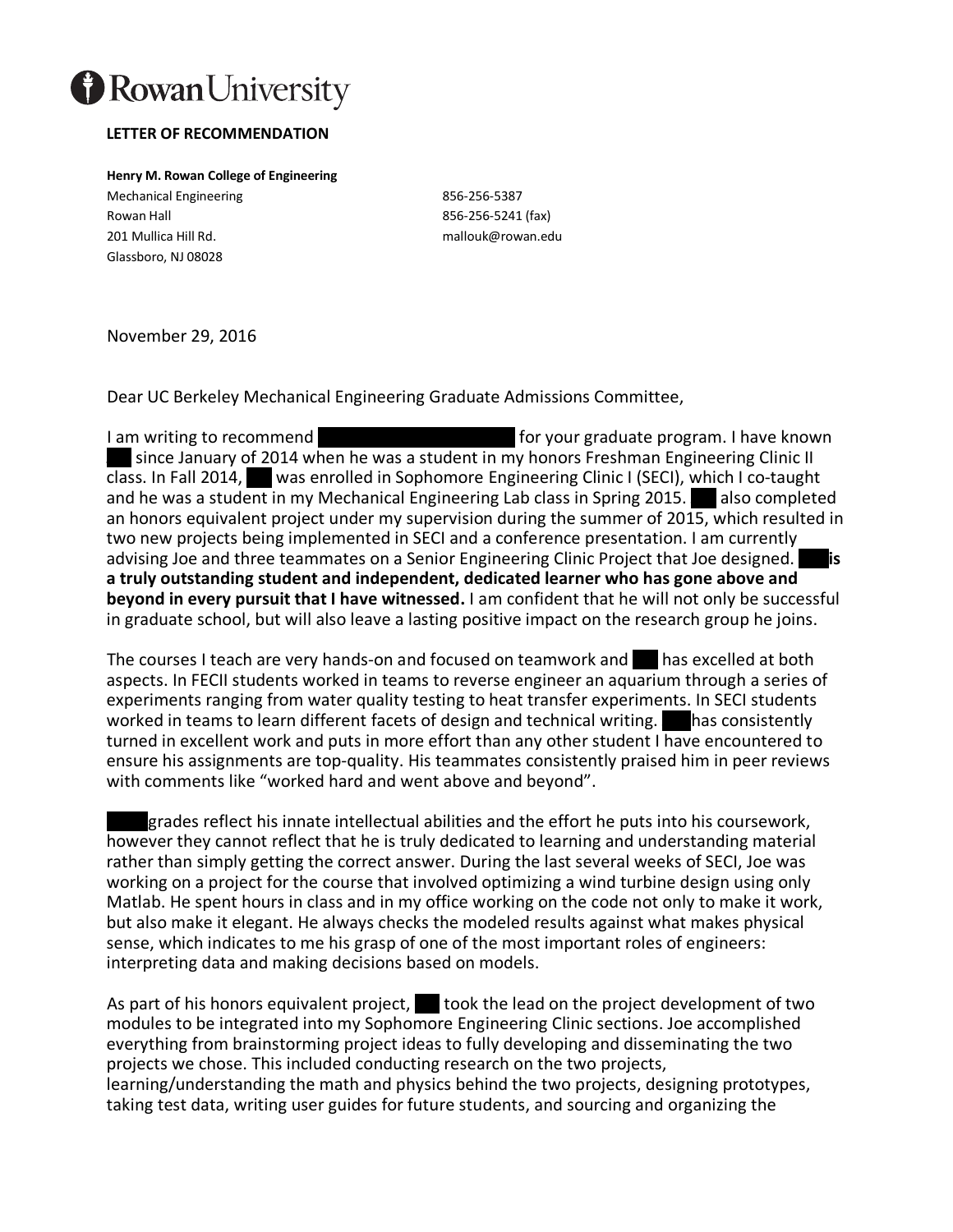

## **LETTER OF RECOMMENDATION**

**Henry M. Rowan College of Engineering** Mechanical Engineering 856-256-5387 Rowan Hall 856-256-5241 (fax) 201 Mullica Hill Rd. mallouk@rowan.edu Glassboro, NJ 08028

November 29, 2016

Dear UC Berkeley Mechanical Engineering Graduate Admissions Committee,

I am writing to recommend Mr. Joseph (Joe) Mandara for your graduate program. I have known since January of 2014 when he was a student in my honors Freshman Engineering Clinic II class. In Fall 2014, vas enrolled in Sophomore Engineering Clinic I (SECI), which I co-taught and he was a student in my Mechanical Engineering Lab class in Spring 2015.  $\blacksquare$  also completed an honors equivalent project under my supervision during the summer of 2015, which resulted in two new projects being implemented in SECI and a conference presentation. I am currently advising Joe and three teammates on a Senior Engineering Clinic Project that Joe designed. **a truly outstanding student and independent, dedicated learner who has gone above and beyond in every pursuit that I have witnessed.** I am confident that he will not only be successful in graduate school, but will also leave a lasting positive impact on the research group he joins.

The courses I teach are very hands-on and focused on teamwork and  $\blacksquare$  has excelled at both aspects. In FECII students worked in teams to reverse engineer an aquarium through a series of experiments ranging from water quality testing to heat transfer experiments. In SECI students worked in teams to learn different facets of design and technical writing.  $\Box$  has consistently turned in excellent work and puts in more effort than any other student I have encountered to ensure his assignments are top-quality. His teammates consistently praised him in peer reviews with comments like "worked hard and went above and beyond".

grades reflect his innate intellectual abilities and the effort he puts into his coursework, however they cannot reflect that he is truly dedicated to learning and understanding material rather than simply getting the correct answer. During the last several weeks of SECI, Joe was working on a project for the course that involved optimizing a wind turbine design using only Matlab. He spent hours in class and in my office working on the code not only to make it work, but also make it elegant. He always checks the modeled results against what makes physical sense, which indicates to me his grasp of one of the most important roles of engineers: interpreting data and making decisions based on models.

As part of his honors equivalent project,  $\blacksquare$  took the lead on the project development of two modules to be integrated into my Sophomore Engineering Clinic sections. Joe accomplished everything from brainstorming project ideas to fully developing and disseminating the two projects we chose. This included conducting research on the two projects, learning/understanding the math and physics behind the two projects, designing prototypes, taking test data, writing user guides for future students, and sourcing and organizing the